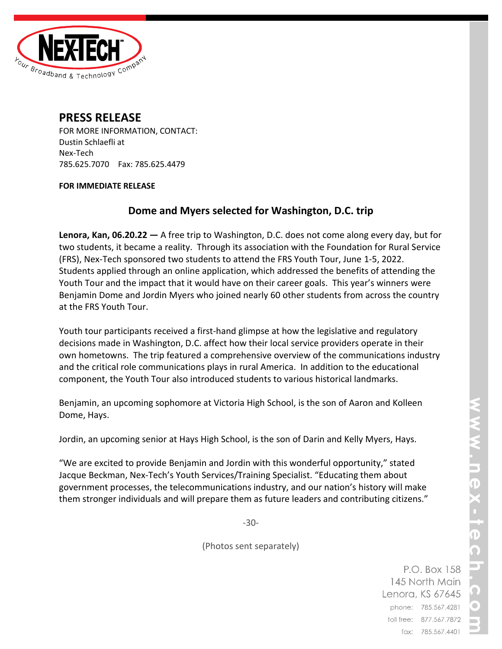

# **PRESS RELEASE**

FOR MORE INFORMATION, CONTACT: Dustin Schlaefli at Nex-Tech 785.625.7070 Fax: 785.625.4479

### **FOR IMMEDIATE RELEASE**

## **Dome and Myers selected for Washington, D.C. trip**

**Lenora, Kan, 06.20.22 —** A free trip to Washington, D.C. does not come along every day, but for two students, it became a reality. Through its association with the Foundation for Rural Service (FRS), Nex-Tech sponsored two students to attend the FRS Youth Tour, June 1-5, 2022. Students applied through an online application, which addressed the benefits of attending the Youth Tour and the impact that it would have on their career goals. This year's winners were Benjamin Dome and Jordin Myers who joined nearly 60 other students from across the country at the FRS Youth Tour.

Youth tour participants received a first-hand glimpse at how the legislative and regulatory decisions made in Washington, D.C. affect how their local service providers operate in their own hometowns. The trip featured a comprehensive overview of the communications industry and the critical role communications plays in rural America. In addition to the educational component, the Youth Tour also introduced students to various historical landmarks.

Benjamin, an upcoming sophomore at Victoria High School, is the son of Aaron and Kolleen Dome, Hays.

Jordin, an upcoming senior at Hays High School, is the son of Darin and Kelly Myers, Hays.

"We are excited to provide Benjamin and Jordin with this wonderful opportunity," stated Jacque Beckman, Nex-Tech's Youth Services/Training Specialist. "Educating them about government processes, the telecommunications industry, and our nation's history will make them stronger individuals and will prepare them as future leaders and contributing citizens."

-30-

(Photos sent separately)

P.O. Box 158 145 North Main Lenora, KS 67645 phone: 785.567.4281 toll free: 877.567.7872 fax: 785.567.4401